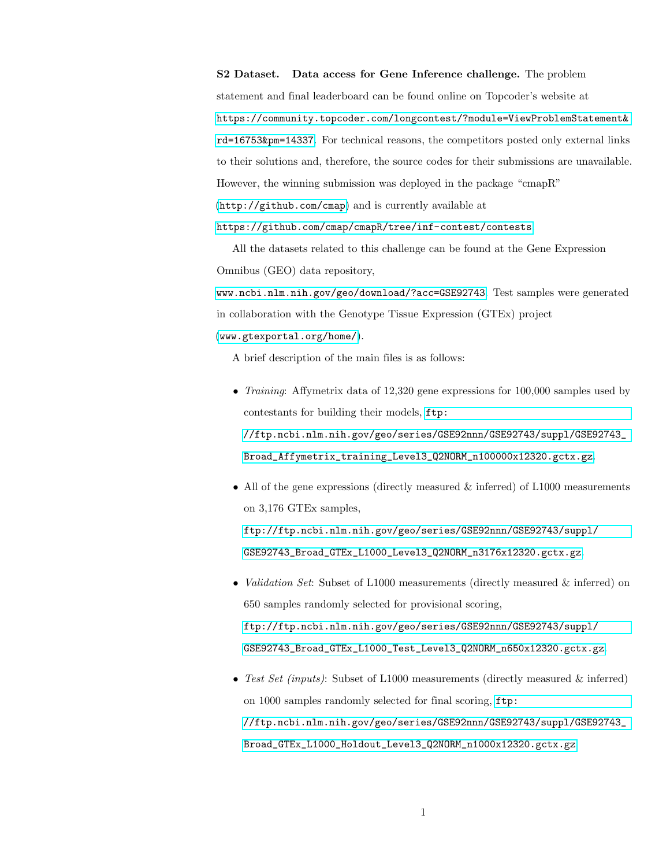S2 Dataset. Data access for Gene Inference challenge. The problem statement and final leaderboard can be found online on Topcoder's website at [https://community.topcoder.com/longcontest/?module=ViewProblemStatement&](https://community.topcoder.com/longcontest/?module=ViewProblemStatement&rd=16753&pm=14337) [rd=16753&pm=14337](https://community.topcoder.com/longcontest/?module=ViewProblemStatement&rd=16753&pm=14337). For technical reasons, the competitors posted only external links to their solutions and, therefore, the source codes for their submissions are unavailable. However, the winning submission was deployed in the package "cmapR" (<http://github.com/cmap>) and is currently available at

<https://github.com/cmap/cmapR/tree/inf-contest/contests>.

All the datasets related to this challenge can be found at the Gene Expression Omnibus (GEO) data repository,

<www.ncbi.nlm.nih.gov/geo/download/?acc=GSE92743>. Test samples were generated in collaboration with the Genotype Tissue Expression (GTEx) project (<www.gtexportal.org/home/>).

A brief description of the main files is as follows:

- *Training*: Affymetrix data of 12,320 gene expressions for 100,000 samples used by contestants for building their models, [ftp:](ftp://ftp.ncbi.nlm.nih.gov/geo/series/GSE92nnn/GSE92743/suppl/GSE92743_Broad_Affymetrix_training_Level3_Q2NORM_n100000x12320.gctx.gz) [//ftp.ncbi.nlm.nih.gov/geo/series/GSE92nnn/GSE92743/suppl/GSE92743\\_](ftp://ftp.ncbi.nlm.nih.gov/geo/series/GSE92nnn/GSE92743/suppl/GSE92743_Broad_Affymetrix_training_Level3_Q2NORM_n100000x12320.gctx.gz) [Broad\\_Affymetrix\\_training\\_Level3\\_Q2NORM\\_n100000x12320.gctx.gz](ftp://ftp.ncbi.nlm.nih.gov/geo/series/GSE92nnn/GSE92743/suppl/GSE92743_Broad_Affymetrix_training_Level3_Q2NORM_n100000x12320.gctx.gz).
- All of the gene expressions (directly measured  $\&$  inferred) of L1000 measurements on 3,176 GTEx samples, [ftp://ftp.ncbi.nlm.nih.gov/geo/series/GSE92nnn/GSE92743/suppl/](ftp://ftp.ncbi.nlm.nih.gov/geo/series/GSE92nnn/GSE92743/suppl/GSE92743_Broad_GTEx_L1000_Level3_Q2NORM_n3176x12320.gctx.gz) [GSE92743\\_Broad\\_GTEx\\_L1000\\_Level3\\_Q2NORM\\_n3176x12320.gctx.gz](ftp://ftp.ncbi.nlm.nih.gov/geo/series/GSE92nnn/GSE92743/suppl/GSE92743_Broad_GTEx_L1000_Level3_Q2NORM_n3176x12320.gctx.gz).
- *Validation Set:* Subset of L1000 measurements (directly measured & inferred) on 650 samples randomly selected for provisional scoring, [ftp://ftp.ncbi.nlm.nih.gov/geo/series/GSE92nnn/GSE92743/suppl/](ftp://ftp.ncbi.nlm.nih.gov/geo/series/GSE92nnn/GSE92743/suppl/GSE92743_Broad_GTEx_L1000_Test_Level3_Q2NORM_n650x12320.gctx.gz) [GSE92743\\_Broad\\_GTEx\\_L1000\\_Test\\_Level3\\_Q2NORM\\_n650x12320.gctx.gz](ftp://ftp.ncbi.nlm.nih.gov/geo/series/GSE92nnn/GSE92743/suppl/GSE92743_Broad_GTEx_L1000_Test_Level3_Q2NORM_n650x12320.gctx.gz).
- Test Set (inputs): Subset of L1000 measurements (directly measured & inferred) on 1000 samples randomly selected for final scoring, [ftp:](ftp://ftp.ncbi.nlm.nih.gov/geo/series/GSE92nnn/GSE92743/suppl/GSE92743_Broad_GTEx_L1000_Holdout_Level3_Q2NORM_n1000x12320.gctx.gz) [//ftp.ncbi.nlm.nih.gov/geo/series/GSE92nnn/GSE92743/suppl/GSE92743\\_](ftp://ftp.ncbi.nlm.nih.gov/geo/series/GSE92nnn/GSE92743/suppl/GSE92743_Broad_GTEx_L1000_Holdout_Level3_Q2NORM_n1000x12320.gctx.gz) [Broad\\_GTEx\\_L1000\\_Holdout\\_Level3\\_Q2NORM\\_n1000x12320.gctx.gz](ftp://ftp.ncbi.nlm.nih.gov/geo/series/GSE92nnn/GSE92743/suppl/GSE92743_Broad_GTEx_L1000_Holdout_Level3_Q2NORM_n1000x12320.gctx.gz).